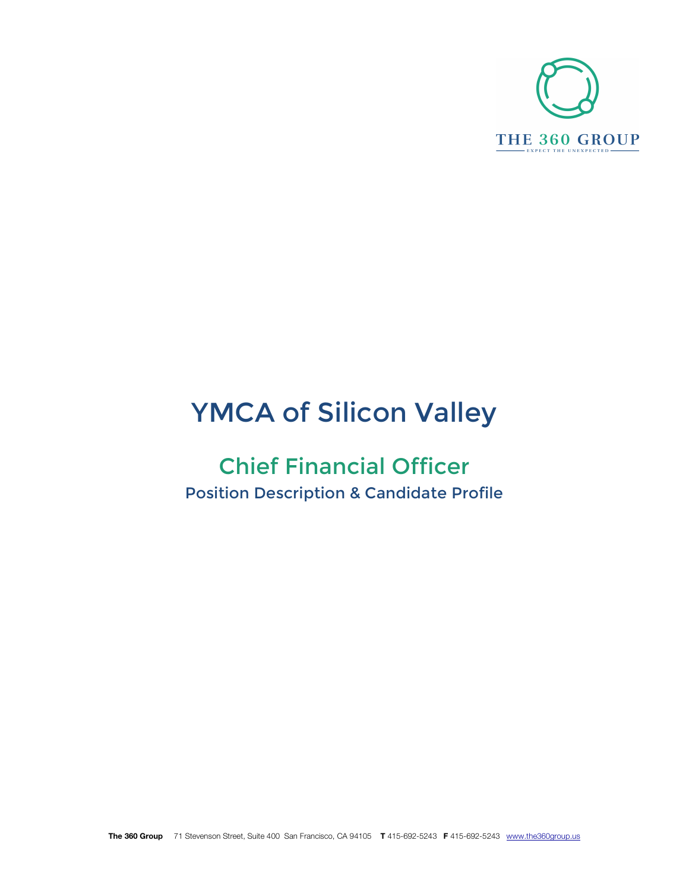

# YMCA of Silicon Valley

# Chief Financial Officer Position Description & Candidate Profile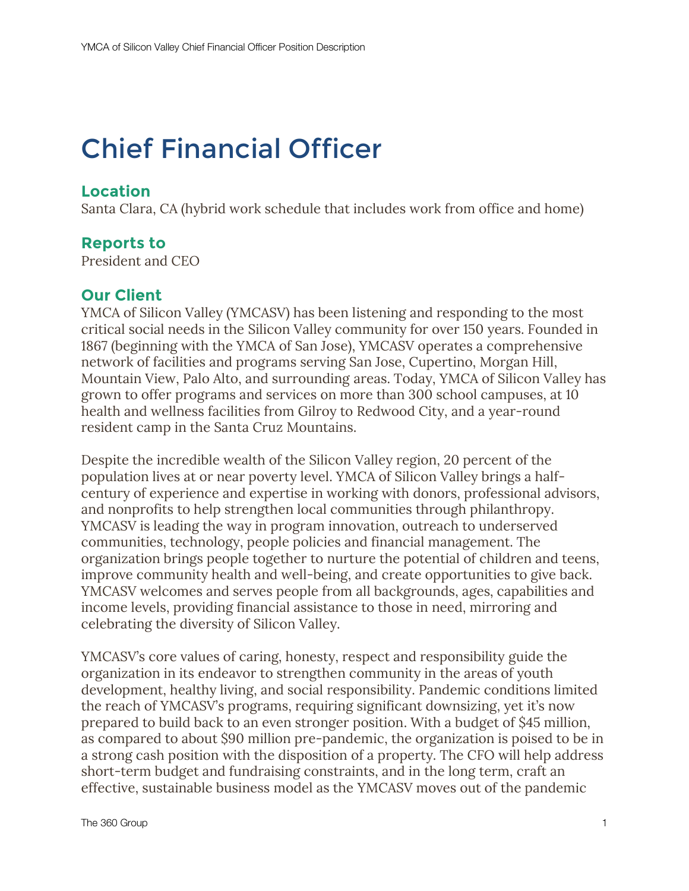# Chief Financial Officer

# **Location**

Santa Clara, CA (hybrid work schedule that includes work from office and home)

# **Reports to**

President and CEO

## **Our Client**

YMCA of Silicon Valley (YMCASV) has been listening and responding to the most critical social needs in the Silicon Valley community for over 150 years. Founded in 1867 (beginning with the YMCA of San Jose), YMCASV operates a comprehensive network of facilities and programs serving San Jose, Cupertino, Morgan Hill, Mountain View, Palo Alto, and surrounding areas. Today, YMCA of Silicon Valley has grown to offer programs and services on more than 300 school campuses, at 10 health and wellness facilities from Gilroy to Redwood City, and a year-round resident camp in the Santa Cruz Mountains.

Despite the incredible wealth of the Silicon Valley region, 20 percent of the population lives at or near poverty level. YMCA of Silicon Valley brings a halfcentury of experience and expertise in working with donors, professional advisors, and nonprofits to help strengthen local communities through philanthropy. YMCASV is leading the way in program innovation, outreach to underserved communities, technology, people policies and financial management. The organization brings people together to nurture the potential of children and teens, improve community health and well-being, and create opportunities to give back. YMCASV welcomes and serves people from all backgrounds, ages, capabilities and income levels, providing financial assistance to those in need, mirroring and celebrating the diversity of Silicon Valley.

YMCASV's core values of caring, honesty, respect and responsibility guide the organization in its endeavor to strengthen community in the areas of youth development, healthy living, and social responsibility. Pandemic conditions limited the reach of YMCASV's programs, requiring significant downsizing, yet it's now prepared to build back to an even stronger position. With a budget of \$45 million, as compared to about \$90 million pre-pandemic, the organization is poised to be in a strong cash position with the disposition of a property. The CFO will help address short-term budget and fundraising constraints, and in the long term, craft an effective, sustainable business model as the YMCASV moves out of the pandemic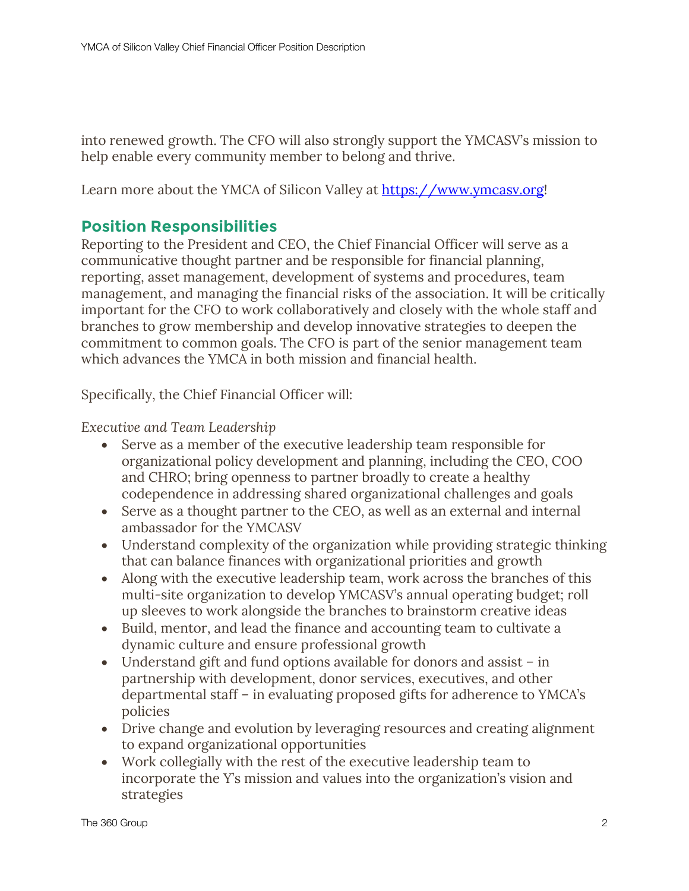into renewed growth. The CFO will also strongly support the YMCASV's mission to help enable every community member to belong and thrive.

Learn more about the YMCA of Silicon Valley at https://www.ymcasv.org!

#### **Position Responsibilities**

Reporting to the President and CEO, the Chief Financial Officer will serve as a communicative thought partner and be responsible for financial planning, reporting, asset management, development of systems and procedures, team management, and managing the financial risks of the association. It will be critically important for the CFO to work collaboratively and closely with the whole staff and branches to grow membership and develop innovative strategies to deepen the commitment to common goals. The CFO is part of the senior management team which advances the YMCA in both mission and financial health.

Specifically, the Chief Financial Officer will:

*Executive and Team Leadership*

- Serve as a member of the executive leadership team responsible for organizational policy development and planning, including the CEO, COO and CHRO; bring openness to partner broadly to create a healthy codependence in addressing shared organizational challenges and goals
- Serve as a thought partner to the CEO, as well as an external and internal ambassador for the YMCASV
- Understand complexity of the organization while providing strategic thinking that can balance finances with organizational priorities and growth
- Along with the executive leadership team, work across the branches of this multi-site organization to develop YMCASV's annual operating budget; roll up sleeves to work alongside the branches to brainstorm creative ideas
- Build, mentor, and lead the finance and accounting team to cultivate a dynamic culture and ensure professional growth
- Understand gift and fund options available for donors and assist in partnership with development, donor services, executives, and other departmental staff – in evaluating proposed gifts for adherence to YMCA's policies
- Drive change and evolution by leveraging resources and creating alignment to expand organizational opportunities
- Work collegially with the rest of the executive leadership team to incorporate the Y's mission and values into the organization's vision and strategies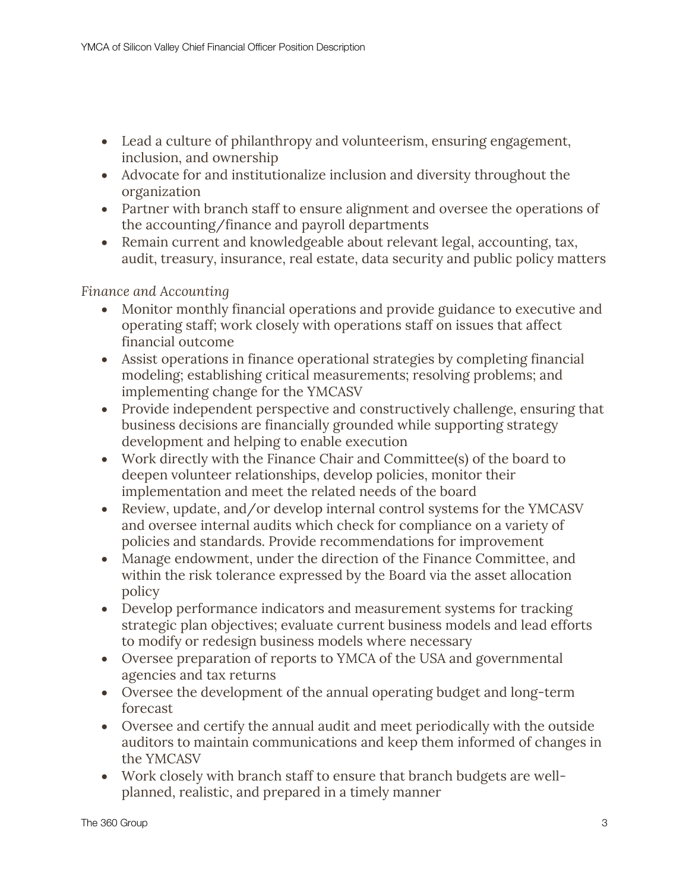- Lead a culture of philanthropy and volunteerism, ensuring engagement, inclusion, and ownership
- Advocate for and institutionalize inclusion and diversity throughout the organization
- Partner with branch staff to ensure alignment and oversee the operations of the accounting/finance and payroll departments
- Remain current and knowledgeable about relevant legal, accounting, tax, audit, treasury, insurance, real estate, data security and public policy matters

*Finance and Accounting*

- Monitor monthly financial operations and provide guidance to executive and operating staff; work closely with operations staff on issues that affect financial outcome
- Assist operations in finance operational strategies by completing financial modeling; establishing critical measurements; resolving problems; and implementing change for the YMCASV
- Provide independent perspective and constructively challenge, ensuring that business decisions are financially grounded while supporting strategy development and helping to enable execution
- Work directly with the Finance Chair and Committee(s) of the board to deepen volunteer relationships, develop policies, monitor their implementation and meet the related needs of the board
- Review, update, and/or develop internal control systems for the YMCASV and oversee internal audits which check for compliance on a variety of policies and standards. Provide recommendations for improvement
- Manage endowment, under the direction of the Finance Committee, and within the risk tolerance expressed by the Board via the asset allocation policy
- Develop performance indicators and measurement systems for tracking strategic plan objectives; evaluate current business models and lead efforts to modify or redesign business models where necessary
- Oversee preparation of reports to YMCA of the USA and governmental agencies and tax returns
- Oversee the development of the annual operating budget and long-term forecast
- Oversee and certify the annual audit and meet periodically with the outside auditors to maintain communications and keep them informed of changes in the YMCASV
- Work closely with branch staff to ensure that branch budgets are wellplanned, realistic, and prepared in a timely manner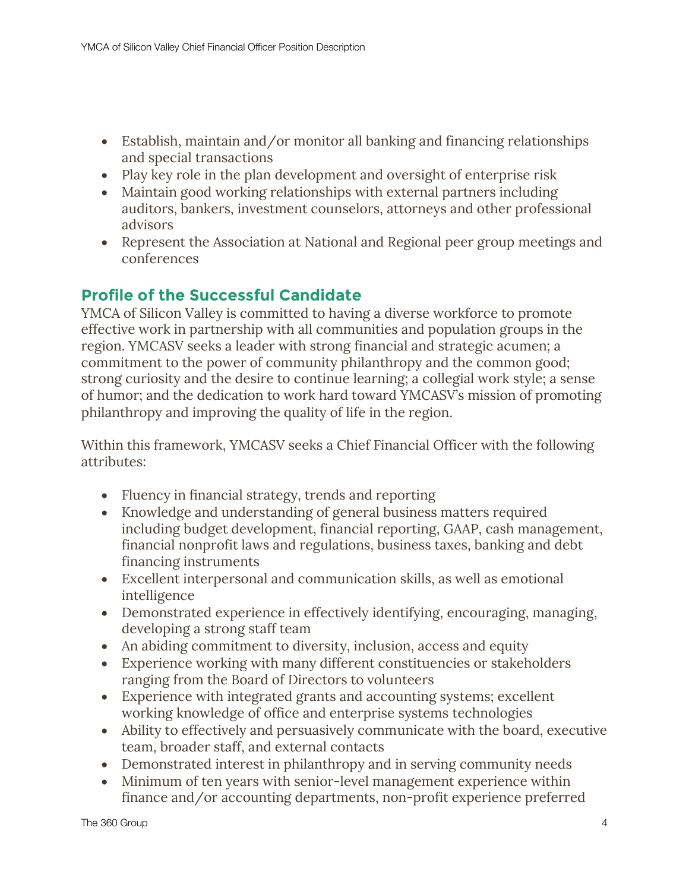- Establish, maintain and/or monitor all banking and financing relationships and special transactions
- Play key role in the plan development and oversight of enterprise risk
- Maintain good working relationships with external partners including auditors, bankers, investment counselors, attorneys and other professional advisors
- Represent the Association at National and Regional peer group meetings and conferences

# **Profile of the Successful Candidate**

YMCA of Silicon Valley is committed to having a diverse workforce to promote effective work in partnership with all communities and population groups in the region. YMCASV seeks a leader with strong financial and strategic acumen; a commitment to the power of community philanthropy and the common good; strong curiosity and the desire to continue learning; a collegial work style; a sense of humor; and the dedication to work hard toward YMCASV's mission of promoting philanthropy and improving the quality of life in the region.

Within this framework, YMCASV seeks a Chief Financial Officer with the following attributes:

- Fluency in financial strategy, trends and reporting
- Knowledge and understanding of general business matters required including budget development, financial reporting, GAAP, cash management, financial nonprofit laws and regulations, business taxes, banking and debt financing instruments
- Excellent interpersonal and communication skills, as well as emotional intelligence
- Demonstrated experience in effectively identifying, encouraging, managing, developing a strong staff team
- An abiding commitment to diversity, inclusion, access and equity
- Experience working with many different constituencies or stakeholders ranging from the Board of Directors to volunteers
- Experience with integrated grants and accounting systems; excellent working knowledge of office and enterprise systems technologies
- Ability to effectively and persuasively communicate with the board, executive team, broader staff, and external contacts
- Demonstrated interest in philanthropy and in serving community needs
- Minimum of ten years with senior-level management experience within finance and/or accounting departments, non-profit experience preferred